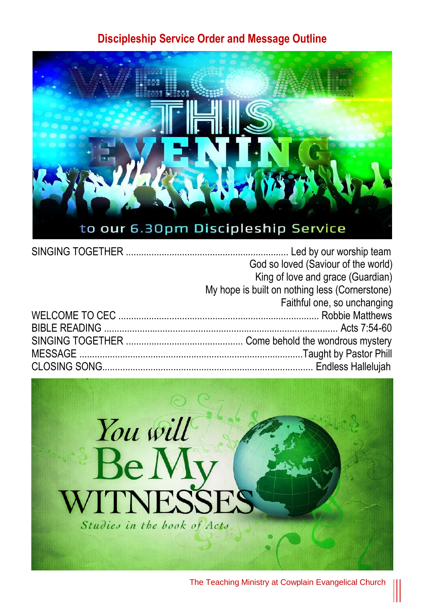#### **Discipleship Service Order and Message Outline**



| God so loved (Saviour of the world)            |
|------------------------------------------------|
| King of love and grace (Guardian)              |
| My hope is built on nothing less (Cornerstone) |
| Faithful one, so unchanging                    |
|                                                |
|                                                |
|                                                |
|                                                |
|                                                |

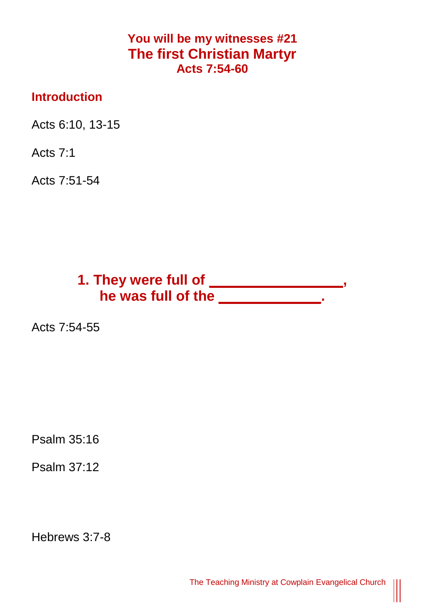### **You will be my witnesses #21 The first Christian Martyr Acts 7:54-60**

#### **Introduction**

Acts 6:10, 13-15

Acts 7:1

Acts 7:51-54

# **1. They were full of \_\_\_\_\_\_\_\_\_\_\_\_\_\_\_\_\_, he was full of the \_\_\_\_\_\_\_\_\_\_\_\_\_.**

Acts 7:54-55

Psalm 35:16

Psalm 37:12

Hebrews 3:7-8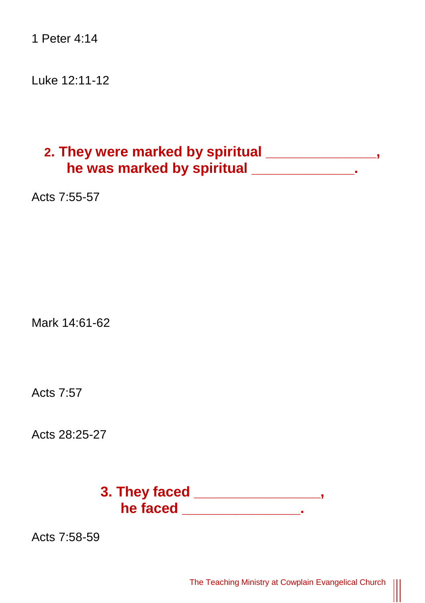1 Peter 4:14

Luke 12:11-12

## **2. They were marked by spiritual \_\_\_\_\_\_\_\_\_\_\_\_\_\_, he was marked by spiritual \_\_\_\_\_\_\_\_\_\_\_\_\_.**

Acts 7:55-57

Mark 14:61-62

Acts 7:57

Acts 28:25-27

**3. They faced \_\_\_\_\_\_\_\_\_\_\_\_\_\_\_\_, he faced \_\_\_\_\_\_\_\_\_\_\_\_\_\_\_.**

Acts 7:58-59